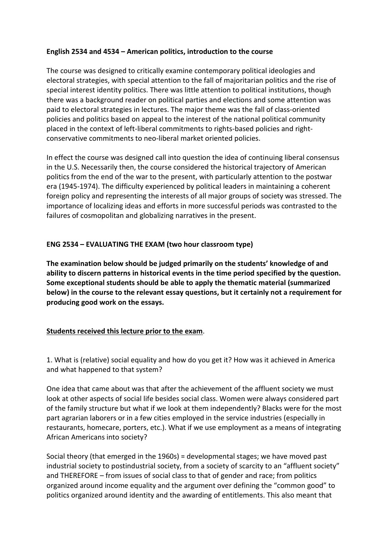## **English 2534 and 4534 – American politics, introduction to the course**

The course was designed to critically examine contemporary political ideologies and electoral strategies, with special attention to the fall of majoritarian politics and the rise of special interest identity politics. There was little attention to political institutions, though there was a background reader on political parties and elections and some attention was paid to electoral strategies in lectures. The major theme was the fall of class-oriented policies and politics based on appeal to the interest of the national political community placed in the context of left-liberal commitments to rights-based policies and rightconservative commitments to neo-liberal market oriented policies.

In effect the course was designed call into question the idea of continuing liberal consensus in the U.S. Necessarily then, the course considered the historical trajectory of American politics from the end of the war to the present, with particularly attention to the postwar era (1945-1974). The difficulty experienced by political leaders in maintaining a coherent foreign policy and representing the interests of all major groups of society was stressed. The importance of localizing ideas and efforts in more successful periods was contrasted to the failures of cosmopolitan and globalizing narratives in the present.

# **ENG 2534 – EVALUATING THE EXAM (two hour classroom type)**

**The examination below should be judged primarily on the students' knowledge of and ability to discern patterns in historical events in the time period specified by the question. Some exceptional students should be able to apply the thematic material (summarized below) in the course to the relevant essay questions, but it certainly not a requirement for producing good work on the essays.**

# **Students received this lecture prior to the exam**.

1. What is (relative) social equality and how do you get it? How was it achieved in America and what happened to that system?

One idea that came about was that after the achievement of the affluent society we must look at other aspects of social life besides social class. Women were always considered part of the family structure but what if we look at them independently? Blacks were for the most part agrarian laborers or in a few cities employed in the service industries (especially in restaurants, homecare, porters, etc.). What if we use employment as a means of integrating African Americans into society?

Social theory (that emerged in the 1960s) = developmental stages; we have moved past industrial society to postindustrial society, from a society of scarcity to an "affluent society" and THEREFORE – from issues of social class to that of gender and race; from politics organized around income equality and the argument over defining the "common good" to politics organized around identity and the awarding of entitlements. This also meant that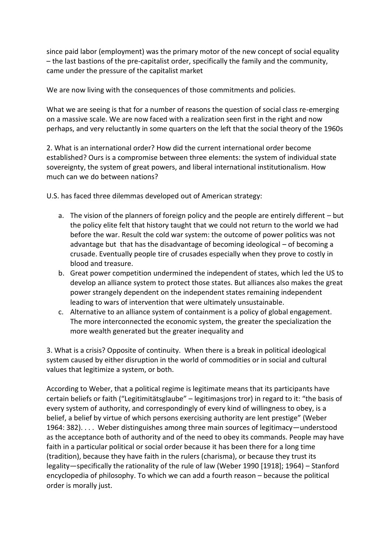since paid labor (employment) was the primary motor of the new concept of social equality – the last bastions of the pre-capitalist order, specifically the family and the community, came under the pressure of the capitalist market

We are now living with the consequences of those commitments and policies.

What we are seeing is that for a number of reasons the question of social class re-emerging on a massive scale. We are now faced with a realization seen first in the right and now perhaps, and very reluctantly in some quarters on the left that the social theory of the 1960s

2. What is an international order? How did the current international order become established? Ours is a compromise between three elements: the system of individual state sovereignty, the system of great powers, and liberal international institutionalism. How much can we do between nations?

U.S. has faced three dilemmas developed out of American strategy:

- a. The vision of the planners of foreign policy and the people are entirely different but the policy elite felt that history taught that we could not return to the world we had before the war. Result the cold war system: the outcome of power politics was not advantage but that has the disadvantage of becoming ideological – of becoming a crusade. Eventually people tire of crusades especially when they prove to costly in blood and treasure.
- b. Great power competition undermined the independent of states, which led the US to develop an alliance system to protect those states. But alliances also makes the great power strangely dependent on the independent states remaining independent leading to wars of intervention that were ultimately unsustainable.
- c. Alternative to an alliance system of containment is a policy of global engagement. The more interconnected the economic system, the greater the specialization the more wealth generated but the greater inequality and

3. What is a crisis? Opposite of continuity. When there is a break in political ideological system caused by either disruption in the world of commodities or in social and cultural values that legitimize a system, or both.

According to Weber, that a political regime is legitimate means that its participants have certain beliefs or faith ("Legitimitätsglaube" – legitimasjons tror) in regard to it: "the basis of every system of authority, and correspondingly of every kind of willingness to obey, is a belief, a belief by virtue of which persons exercising authority are lent prestige" (Weber 1964: 382). . . . Weber distinguishes among three main sources of legitimacy—understood as the acceptance both of authority and of the need to obey its commands. People may have faith in a particular political or social order because it has been there for a long time (tradition), because they have faith in the rulers (charisma), or because they trust its legality—specifically the rationality of the rule of law (Weber 1990 [1918]; 1964) – Stanford encyclopedia of philosophy. To which we can add a fourth reason – because the political order is morally just.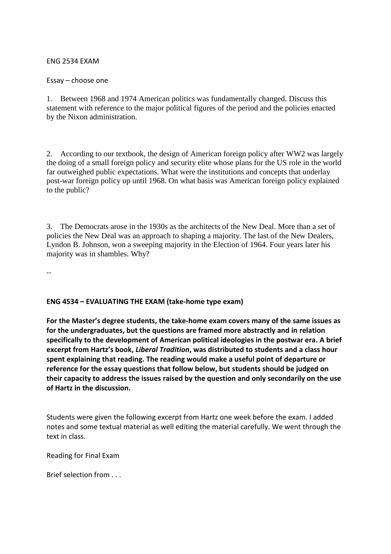#### ENG 2534 EXAM

#### Essay – choose one

1. Between 1968 and 1974 American politics was fundamentally changed. Discuss this statement with reference to the major political figures of the period and the policies enacted by the Nixon administration.

2. According to our textbook, the design of American foreign policy after WW2 was largely the doing of a small foreign policy and security elite whose plans for the US role in the world far outweighed public expectations. What were the institutions and concepts that underlay post-war foreign policy up until 1968. On what basis was American foreign policy explained to the public?

3. The Democrats arose in the 1930s as the architects of the New Deal. More than a set of policies the New Deal was an approach to shaping a majority. The last of the New Dealers, Lyndon B. Johnson, won a sweeping majority in the Election of 1964. Four years later his majority was in shambles. Why?

--

### **ENG 4534 – EVALUATING THE EXAM (take-home type exam)**

**For the Master's degree students, the take-home exam covers many of the same issues as for the undergraduates, but the questions are framed more abstractly and in relation specifically to the development of American political ideologies in the postwar era. A brief excerpt from Hartz's book,** *Liberal Tradition***, was distributed to students and a class hour spent explaining that reading. The reading would make a useful point of departure or reference for the essay questions that follow below, but students should be judged on their capacity to address the issues raised by the question and only secondarily on the use of Hartz in the discussion.**

Students were given the following excerpt from Hartz one week before the exam. I added notes and some textual material as well editing the material carefully. We went through the text in class.

Reading for Final Exam

Brief selection from . . .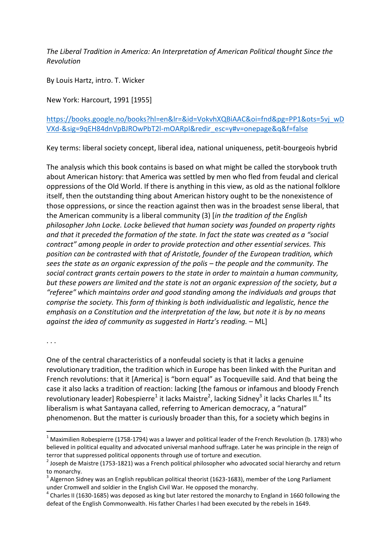*The Liberal Tradition in America: An Interpretation of American Political thought Since the Revolution*

By Louis Hartz, intro. T. Wicker

New York: Harcourt, 1991 [1955]

## [https://books.google.no/books?hl=en&lr=&id=VokvhXQBiAAC&oi=fnd&pg=PP1&ots=5vj\\_wD](https://books.google.no/books?hl=en&lr=&id=VokvhXQBiAAC&oi=fnd&pg=PP1&ots=5vj_wDVXd-&sig=9qEH84dnVpBJROwPbT2l-mOARpI&redir_esc=y#v=onepage&q&f=false) [VXd-&sig=9qEH84dnVpBJROwPbT2l-mOARpI&redir\\_esc=y#v=onepage&q&f=false](https://books.google.no/books?hl=en&lr=&id=VokvhXQBiAAC&oi=fnd&pg=PP1&ots=5vj_wDVXd-&sig=9qEH84dnVpBJROwPbT2l-mOARpI&redir_esc=y#v=onepage&q&f=false)

Key terms: liberal society concept, liberal idea, national uniqueness, petit-bourgeois hybrid

The analysis which this book contains is based on what might be called the storybook truth about American history: that America was settled by men who fled from feudal and clerical oppressions of the Old World. If there is anything in this view, as old as the national folklore itself, then the outstanding thing about American history ought to be the nonexistence of those oppressions, or since the reaction against then was in the broadest sense liberal, that the American community is a liberal community (3) [*in the tradition of the English philosopher John Locke. Locke believed that human society was founded on property rights and that it preceded the formation of the state. In fact the state was created as a "social contract" among people in order to provide protection and other essential services. This position can be contrasted with that of Aristotle, founder of the European tradition, which sees the state as an organic expression of the polis – the people and the community. The social contract grants certain powers to the state in order to maintain a human community, but these powers are limited and the state is not an organic expression of the society, but a "referee" which maintains order and good standing among the individuals and groups that comprise the society. This form of thinking is both individualistic and legalistic, hence the emphasis on a Constitution and the interpretation of the law, but note it is by no means against the idea of community as suggested in Hartz's reading.* – ML]

. . .

j

One of the central characteristics of a nonfeudal society is that it lacks a genuine revolutionary tradition, the tradition which in Europe has been linked with the Puritan and French revolutions: that it [America] is "born equal" as Tocqueville said. And that being the case it also lacks a tradition of reaction: lacking [the famous or infamous and bloody French revolutionary leader] Robespierre<sup>1</sup> it lacks Maistre<sup>2</sup>, lacking Sidney<sup>3</sup> it lacks Charles II.<sup>4</sup> Its liberalism is what Santayana called, referring to American democracy, a "natural" phenomenon. But the matter is curiously broader than this, for a society which begins in

 $1$  Maximilien Robespierre (1758-1794) was a lawyer and political leader of the French Revolution (b. 1783) who believed in political equality and advocated universal manhood suffrage. Later he was principle in the reign of terror that suppressed political opponents through use of torture and execution.

 $^{2}$  Joseph de Maistre (1753-1821) was a French political philosopher who advocated social hierarchy and return to monarchy.

<sup>3</sup> Algernon Sidney was an English republican political theorist (1623-1683), member of the Long Parliament under Cromwell and soldier in the English Civil War. He opposed the monarchy.

 $^4$  Charles II (1630-1685) was deposed as king but later restored the monarchy to England in 1660 following the defeat of the English Commonwealth. His father Charles I had been executed by the rebels in 1649.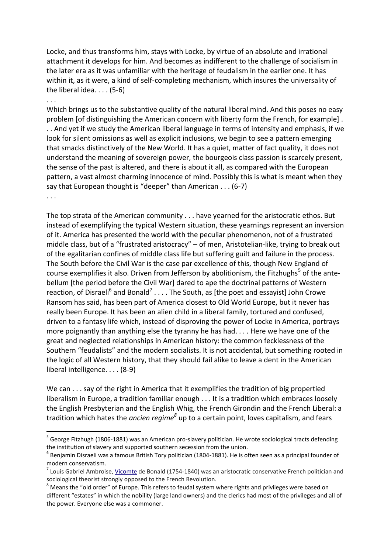Locke, and thus transforms him, stays with Locke, by virtue of an absolute and irrational attachment it develops for him. And becomes as indifferent to the challenge of socialism in the later era as it was unfamiliar with the heritage of feudalism in the earlier one. It has within it, as it were, a kind of self-completing mechanism, which insures the universality of the liberal idea. . . . (5-6)

### . . .

Which brings us to the substantive quality of the natural liberal mind. And this poses no easy problem [of distinguishing the American concern with liberty form the French, for example] . . . And yet if we study the American liberal language in terms of intensity and emphasis, if we look for silent omissions as well as explicit inclusions, we begin to see a pattern emerging that smacks distinctively of the New World. It has a quiet, matter of fact quality, it does not understand the meaning of sovereign power, the bourgeois class passion is scarcely present, the sense of the past is altered, and there is about it all, as compared with the European pattern, a vast almost charming innocence of mind. Possibly this is what is meant when they say that European thought is "deeper" than American . . . (6-7)

. . .

j

The top strata of the American community . . . have yearned for the aristocratic ethos. But instead of exemplifying the typical Western situation, these yearnings represent an inversion of it. America has presented the world with the peculiar phenomenon, not of a frustrated middle class, but of a "frustrated aristocracy" – of men, Aristotelian-like, trying to break out of the egalitarian confines of middle class life but suffering guilt and failure in the process. The South before the Civil War is the case par excellence of this, though New England of course exemplifies it also. Driven from Jefferson by abolitionism, the Fitzhughs<sup>5</sup> of the antebellum [the period before the Civil War] dared to ape the doctrinal patterns of Western reaction, of Disraeli<sup>6</sup> and Bonald<sup>7</sup> . . . . The South, as [the poet and essayist] John Crowe Ransom has said, has been part of America closest to Old World Europe, but it never has really been Europe. It has been an alien child in a liberal family, tortured and confused, driven to a fantasy life which, instead of disproving the power of Locke in America, portrays more poignantly than anything else the tyranny he has had. . . . Here we have one of the great and neglected relationships in American history: the common fecklessness of the Southern "feudalists" and the modern socialists. It is not accidental, but something rooted in the logic of all Western history, that they should fail alike to leave a dent in the American liberal intelligence. . . . (8-9)

We can . . . say of the right in America that it exemplifies the tradition of big propertied liberalism in Europe, a tradition familiar enough . . . It is a tradition which embraces loosely the English Presbyterian and the English Whig, the French Girondin and the French Liberal: a tradition which hates the *ancien regime<sup>8</sup>* up to a certain point, loves capitalism, and fears

<sup>&</sup>lt;sup>5</sup> George Fitzhugh (1806-1881) was an American pro-slavery politician. He wrote sociological tracts defending the institution of slavery and supported southern secession from the union.

 $^6$  Benjamin Disraeli was a famous British Tory politician (1804-1881). He is often seen as a principal founder of modern conservatism.

<sup>&</sup>lt;sup>7</sup> Louis Gabriel Ambroise, <u>[Vicomte](https://en.wikipedia.org/wiki/Vicomte)</u> de Bonald (1754-1840) was an aristocratic conservative French politician and sociological theorist strongly opposed to the French Revolution.

<sup>&</sup>lt;sup>8</sup> Means the "old order" of Europe. This refers to feudal system where rights and privileges were based on different "estates" in which the nobility (large land owners) and the clerics had most of the privileges and all of the power. Everyone else was a commoner.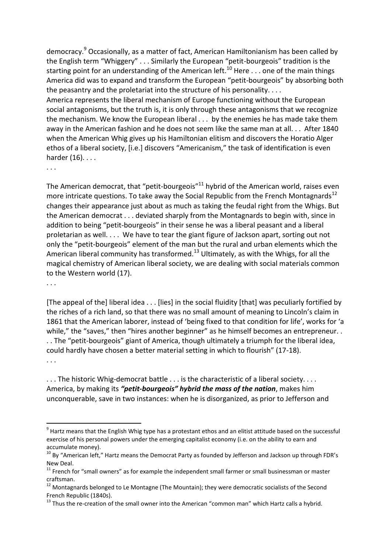democracy.<sup>9</sup> Occasionally, as a matter of fact, American Hamiltonianism has been called by the English term "Whiggery" . . . Similarly the European "petit-bourgeois" tradition is the starting point for an understanding of the American left.<sup>10</sup> Here  $\dots$  one of the main things America did was to expand and transform the European "petit-bourgeois" by absorbing both the peasantry and the proletariat into the structure of his personality. . . . America represents the liberal mechanism of Europe functioning without the European

social antagonisms, but the truth is, it is only through these antagonisms that we recognize the mechanism. We know the European liberal . . . by the enemies he has made take them away in the American fashion and he does not seem like the same man at all. . . After 1840 when the American Whig gives up his Hamiltonian elitism and discovers the Horatio Alger ethos of a liberal society, [i.e.] discovers "Americanism," the task of identification is even harder (16). . . .

. . .

The American democrat, that "petit-bourgeois"<sup>11</sup> hybrid of the American world, raises even more intricate questions. To take away the Social Republic from the French Montagnards<sup>12</sup> changes their appearance just about as much as taking the feudal right from the Whigs. But the American democrat . . . deviated sharply from the Montagnards to begin with, since in addition to being "petit-bourgeois" in their sense he was a liberal peasant and a liberal proletarian as well. . . . We have to tear the giant figure of Jackson apart, sorting out not only the "petit-bourgeois" element of the man but the rural and urban elements which the American liberal community has transformed.<sup>13</sup> Ultimately, as with the Whigs, for all the magical chemistry of American liberal society, we are dealing with social materials common to the Western world (17).

. . .

[The appeal of the] liberal idea . . . [lies] in the social fluidity [that] was peculiarly fortified by the riches of a rich land, so that there was no small amount of meaning to Lincoln's claim in 1861 that the American laborer, instead of 'being fixed to that condition for life', works for 'a while," the "saves," then "hires another beginner" as he himself becomes an entrepreneur... . . The "petit-bourgeois" giant of America, though ultimately a triumph for the liberal idea, could hardly have chosen a better material setting in which to flourish" (17-18).

. . .

j

... The historic Whig-democrat battle ... is the characteristic of a liberal society.... America, by making its *"petit-bourgeois" hybrid the mass of the nation*, makes him unconquerable, save in two instances: when he is disorganized, as prior to Jefferson and

<sup>&</sup>lt;sup>9</sup> Hartz means that the English Whig type has a protestant ethos and an elitist attitude based on the successful exercise of his personal powers under the emerging capitalist economy (i.e. on the ability to earn and accumulate money).

<sup>&</sup>lt;sup>10</sup> By "American left," Hartz means the Democrat Party as founded by Jefferson and Jackson up through FDR's New Deal.

<sup>&</sup>lt;sup>11</sup> French for "small owners" as for example the independent small farmer or small businessman or master craftsman.

 $12$  Montagnards belonged to Le Montagne (The Mountain); they were democratic socialists of the Second French Republic (1840s).

 $^{13}$  Thus the re-creation of the small owner into the American "common man" which Hartz calls a hybrid.